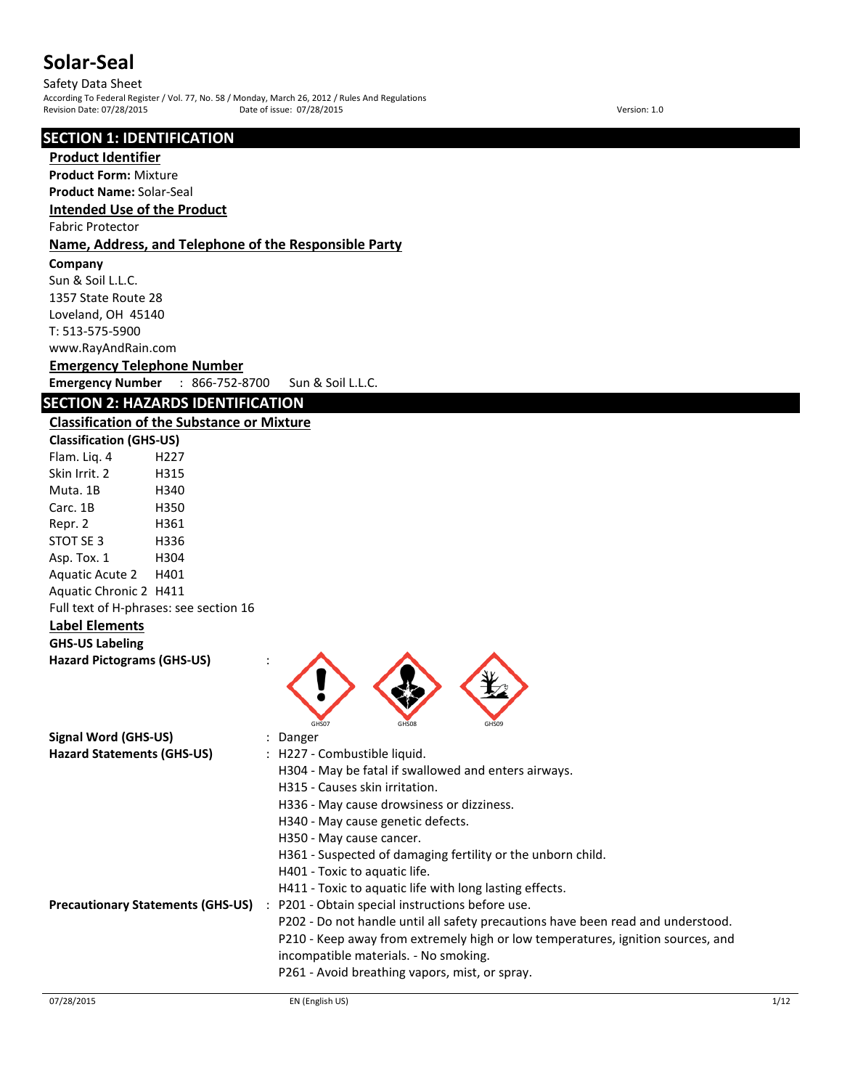Safety Data Sheet<br>According To Federal Register / Vol. 77, No. 58 / Monday, March 26, 2012 / Rules And Regulations<br>Revision Date: 07/28/2015 Date of issue: 07/28/2015 Date of issue: 07/28/2015

# **SECTION 1: IDENTIFICATION**

### **Product Identifier**

**Product Form:** Mixture **Product Name:** Solar-Seal

# **Intended Use of the Product**

Fabric Protector

### **Name, Address, and Telephone of the Responsible Party**

**Company**  Sun & Soil L.L.C. 1357 State Route 28 Loveland, OH 45140 T: 513-575-5900 www.RayAndRain.com **Emergency Telephone Number**

#### **Emergency Number** : 866-752-8700 Sun & Soil L.L.C.

# **SECTION 2: HAZARDS IDENTIFICATION**

**Classification of the Substance or Mixture Classification (GHS-US)**

| Flam. Lig. 4                           | H227 |  |
|----------------------------------------|------|--|
| Skin Irrit. 2                          | H315 |  |
| Muta. 1B                               | H340 |  |
| Carc. 1B                               | H350 |  |
| Repr. 2                                | H361 |  |
| STOT SE 3                              | H336 |  |
| Asp. Tox. 1                            | H304 |  |
| <b>Aguatic Acute 2</b>                 | H401 |  |
| Aquatic Chronic 2 H411                 |      |  |
| Full text of H-phrases: see section 16 |      |  |
| <b>Label Elements</b>                  |      |  |
| <b>GHS-US Labeling</b>                 |      |  |

| <b>SHO OS FANCILIA</b>            |  |
|-----------------------------------|--|
| <b>Hazard Pictograms (GHS-US)</b> |  |



| Signal Word (GHS-US)                     | : Danger                                                                         |
|------------------------------------------|----------------------------------------------------------------------------------|
| <b>Hazard Statements (GHS-US)</b>        | : H227 - Combustible liquid.                                                     |
|                                          | H304 - May be fatal if swallowed and enters airways.                             |
|                                          | H315 - Causes skin irritation.                                                   |
|                                          | H336 - May cause drowsiness or dizziness.                                        |
|                                          | H340 - May cause genetic defects.                                                |
|                                          | H350 - May cause cancer.                                                         |
|                                          | H361 - Suspected of damaging fertility or the unborn child.                      |
|                                          | H401 - Toxic to aquatic life.                                                    |
|                                          | H411 - Toxic to aquatic life with long lasting effects.                          |
| <b>Precautionary Statements (GHS-US)</b> | : P201 - Obtain special instructions before use.                                 |
|                                          | P202 - Do not handle until all safety precautions have been read and understood. |
|                                          | P210 - Keep away from extremely high or low temperatures, ignition sources, and  |
|                                          | incompatible materials. - No smoking.                                            |
|                                          | P261 - Avoid breathing vapors, mist, or spray.                                   |
|                                          |                                                                                  |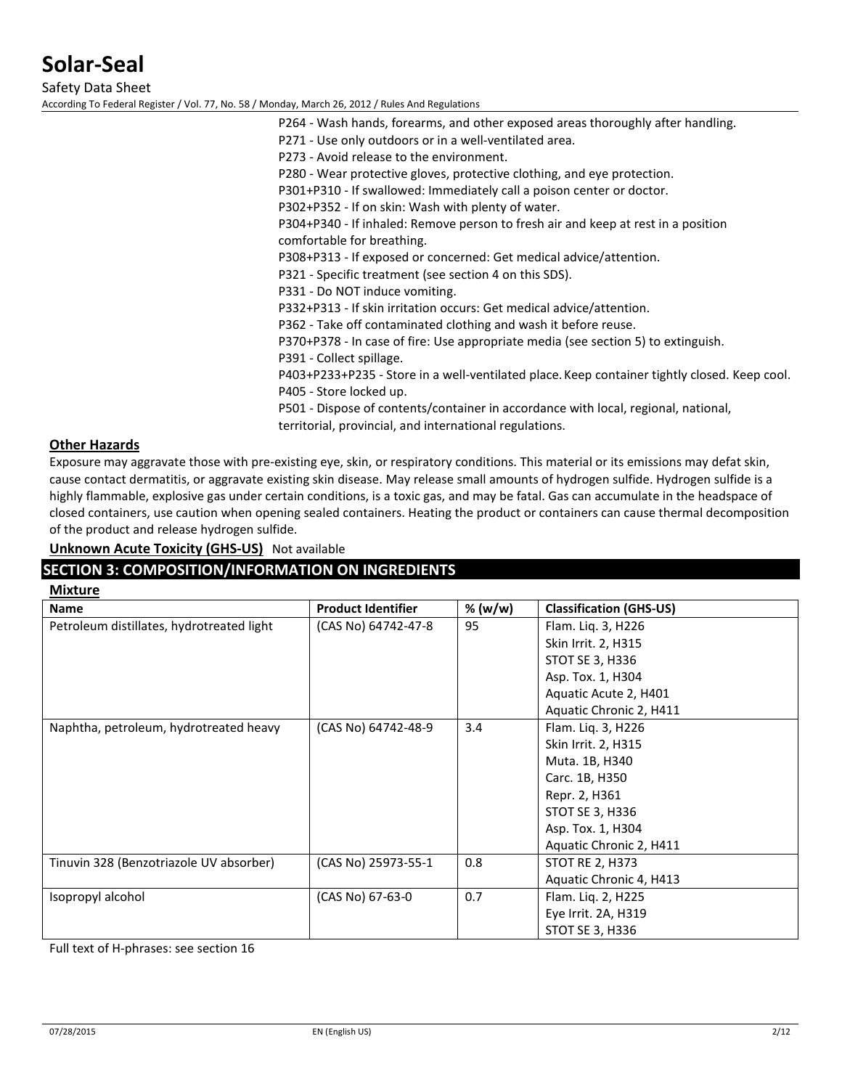Safety Data Sheet According To Federal Register / Vol. 77, No. 58 / Monday, March 26, 2012 / Rules And Regulations

- P264 Wash hands, forearms, and other exposed areas thoroughly after handling.
	- P271 Use only outdoors or in a well-ventilated area.

P273 - Avoid release to the environment.

P280 - Wear protective gloves, protective clothing, and eye protection.

P301+P310 - If swallowed: Immediately call a poison center or doctor.

P302+P352 - If on skin: Wash with plenty of water.

P304+P340 - If inhaled: Remove person to fresh air and keep at rest in a position

comfortable for breathing.

P308+P313 - If exposed or concerned: Get medical advice/attention.

P321 - Specific treatment (see section 4 on this SDS).

P331 - Do NOT induce vomiting.

P332+P313 - If skin irritation occurs: Get medical advice/attention.

P362 - Take off contaminated clothing and wash it before reuse.

P370+P378 - In case of fire: Use appropriate media (see section 5) to extinguish.

P391 - Collect spillage.

P403+P233+P235 - Store in a well-ventilated place. Keep container tightly closed. Keep cool. P405 - Store locked up.

P501 - Dispose of contents/container in accordance with local, regional, national,

territorial, provincial, and international regulations.

#### **Other Hazards**

**Mixture**

Exposure may aggravate those with pre-existing eye, skin, or respiratory conditions. This material or its emissions may defat skin, cause contact dermatitis, or aggravate existing skin disease. May release small amounts of hydrogen sulfide. Hydrogen sulfide is a highly flammable, explosive gas under certain conditions, is a toxic gas, and may be fatal. Gas can accumulate in the headspace of closed containers, use caution when opening sealed containers. Heating the product or containers can cause thermal decomposition of the product and release hydrogen sulfide.

**Unknown Acute Toxicity (GHS-US)** Not available

# **SECTION 3: COMPOSITION/INFORMATION ON INGREDIENTS**

| Name                                      | <b>Product Identifier</b> | % (w/w) | <b>Classification (GHS-US)</b> |
|-------------------------------------------|---------------------------|---------|--------------------------------|
| Petroleum distillates, hydrotreated light | (CAS No) 64742-47-8       | 95      | Flam. Liq. 3, H226             |
|                                           |                           |         | Skin Irrit. 2, H315            |
|                                           |                           |         | STOT SE 3, H336                |
|                                           |                           |         | Asp. Tox. 1, H304              |
|                                           |                           |         | Aquatic Acute 2, H401          |
|                                           |                           |         | Aquatic Chronic 2, H411        |
| Naphtha, petroleum, hydrotreated heavy    | (CAS No) 64742-48-9       | 3.4     | Flam. Liq. 3, H226             |
|                                           |                           |         | Skin Irrit. 2, H315            |
|                                           |                           |         | Muta. 1B, H340                 |
|                                           |                           |         | Carc. 1B, H350                 |
|                                           |                           |         | Repr. 2, H361                  |
|                                           |                           |         | STOT SE 3, H336                |
|                                           |                           |         | Asp. Tox. 1, H304              |
|                                           |                           |         | Aquatic Chronic 2, H411        |
| Tinuvin 328 (Benzotriazole UV absorber)   | (CAS No) 25973-55-1       | 0.8     | <b>STOT RE 2, H373</b>         |
|                                           |                           |         | Aquatic Chronic 4, H413        |
| Isopropyl alcohol                         | (CAS No) 67-63-0          | 0.7     | Flam. Liq. 2, H225             |
|                                           |                           |         | Eye Irrit. 2A, H319            |
|                                           |                           |         | STOT SE 3, H336                |

Full text of H-phrases: see section 16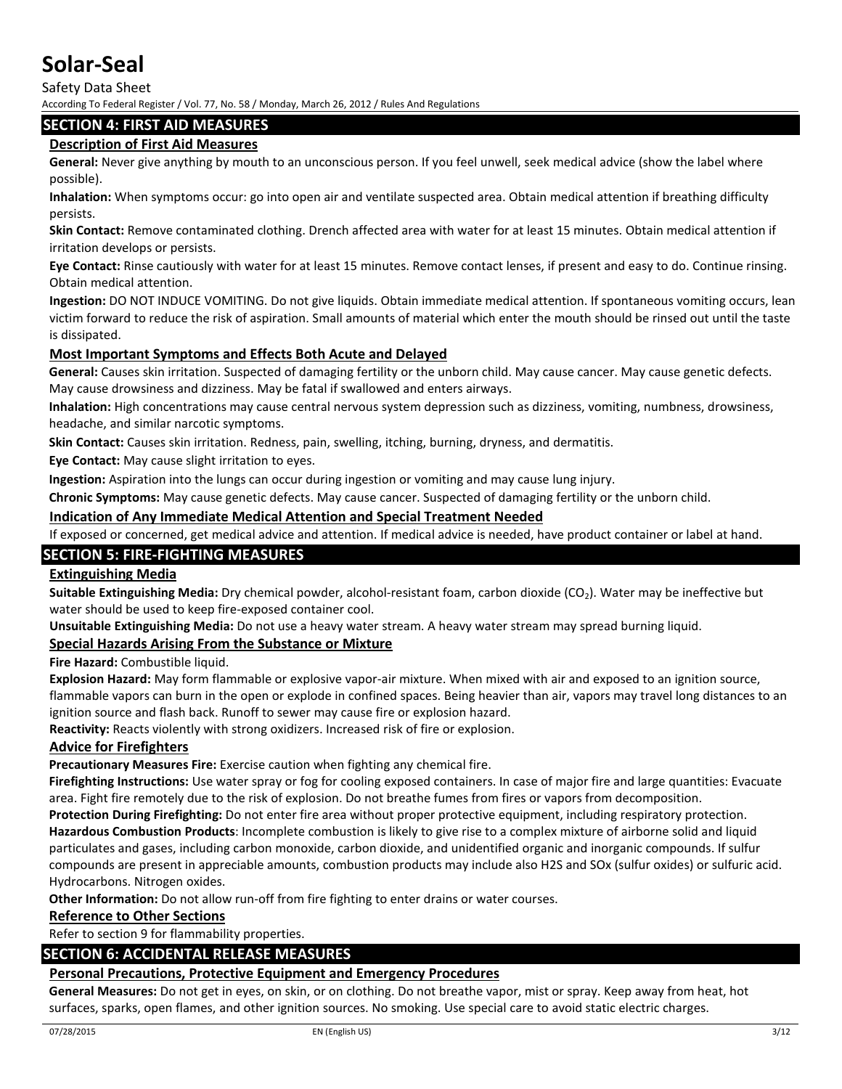Safety Data Sheet

According To Federal Register / Vol. 77, No. 58 / Monday, March 26, 2012 / Rules And Regulations

#### **SECTION 4: FIRST AID MEASURES**

### **Description of First Aid Measures**

**General:** Never give anything by mouth to an unconscious person. If you feel unwell, seek medical advice (show the label where possible).

**Inhalation:** When symptoms occur: go into open air and ventilate suspected area. Obtain medical attention if breathing difficulty persists.

**Skin Contact:** Remove contaminated clothing. Drench affected area with water for at least 15 minutes. Obtain medical attention if irritation develops or persists.

**Eye Contact:** Rinse cautiously with water for at least 15 minutes. Remove contact lenses, if present and easy to do. Continue rinsing. Obtain medical attention.

**Ingestion:** DO NOT INDUCE VOMITING. Do not give liquids. Obtain immediate medical attention. If spontaneous vomiting occurs, lean victim forward to reduce the risk of aspiration. Small amounts of material which enter the mouth should be rinsed out until the taste is dissipated.

#### **Most Important Symptoms and Effects Both Acute and Delayed**

**General:** Causes skin irritation. Suspected of damaging fertility or the unborn child. May cause cancer. May cause genetic defects. May cause drowsiness and dizziness. May be fatal if swallowed and enters airways.

**Inhalation:** High concentrations may cause central nervous system depression such as dizziness, vomiting, numbness, drowsiness, headache, and similar narcotic symptoms.

**Skin Contact:** Causes skin irritation. Redness, pain, swelling, itching, burning, dryness, and dermatitis.

**Eye Contact:** May cause slight irritation to eyes.

**Ingestion:** Aspiration into the lungs can occur during ingestion or vomiting and may cause lung injury.

**Chronic Symptoms:** May cause genetic defects. May cause cancer. Suspected of damaging fertility or the unborn child.

#### **Indication of Any Immediate Medical Attention and Special Treatment Needed**

If exposed or concerned, get medical advice and attention. If medical advice is needed, have product container or label at hand.

### **SECTION 5: FIRE-FIGHTING MEASURES**

#### **Extinguishing Media**

**Suitable Extinguishing Media:** Dry chemical powder, alcohol-resistant foam, carbon dioxide (CO<sub>2</sub>). Water may be ineffective but water should be used to keep fire-exposed container cool.

**Unsuitable Extinguishing Media:** Do not use a heavy water stream. A heavy water stream may spread burning liquid.

#### **Special Hazards Arising From the Substance or Mixture**

**Fire Hazard:** Combustible liquid.

**Explosion Hazard:** May form flammable or explosive vapor-air mixture. When mixed with air and exposed to an ignition source, flammable vapors can burn in the open or explode in confined spaces. Being heavier than air, vapors may travel long distances to an ignition source and flash back. Runoff to sewer may cause fire or explosion hazard.

**Reactivity:** Reacts violently with strong oxidizers. Increased risk of fire or explosion.

#### **Advice for Firefighters**

**Precautionary Measures Fire:** Exercise caution when fighting any chemical fire.

**Firefighting Instructions:** Use water spray or fog for cooling exposed containers. In case of major fire and large quantities: Evacuate area. Fight fire remotely due to the risk of explosion. Do not breathe fumes from fires or vapors from decomposition.

**Protection During Firefighting:** Do not enter fire area without proper protective equipment, including respiratory protection. **Hazardous Combustion Products**: Incomplete combustion is likely to give rise to a complex mixture of airborne solid and liquid particulates and gases, including carbon monoxide, carbon dioxide, and unidentified organic and inorganic compounds. If sulfur compounds are present in appreciable amounts, combustion products may include also H2S and SOx (sulfur oxides) or sulfuric acid. Hydrocarbons. Nitrogen oxides.

**Other Information:** Do not allow run-off from fire fighting to enter drains or water courses.

# **Reference to Other Sections**

Refer to section 9 for flammability properties.

### **SECTION 6: ACCIDENTAL RELEASE MEASURES**

#### **Personal Precautions, Protective Equipment and Emergency Procedures**

**General Measures:** Do not get in eyes, on skin, or on clothing. Do not breathe vapor, mist or spray. Keep away from heat, hot surfaces, sparks, open flames, and other ignition sources. No smoking. Use special care to avoid static electric charges.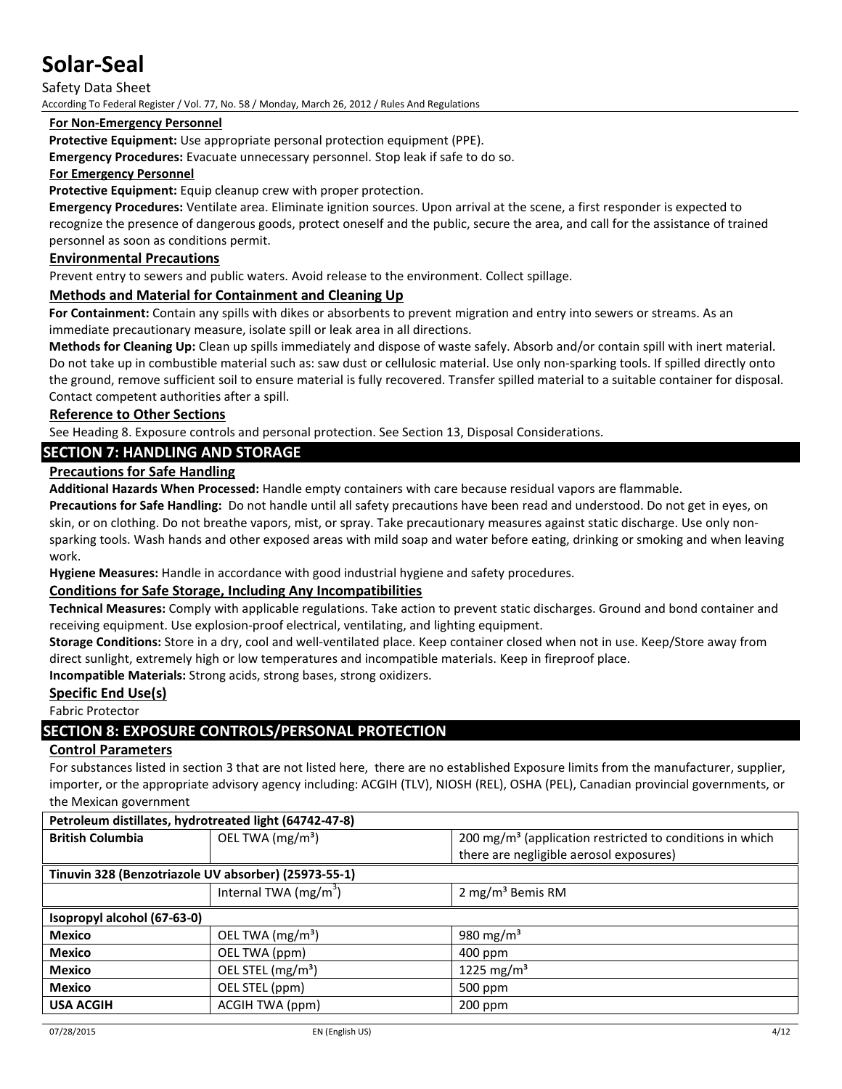Safety Data Sheet

According To Federal Register / Vol. 77, No. 58 / Monday, March 26, 2012 / Rules And Regulations

#### **For Non-Emergency Personnel**

**Protective Equipment:** Use appropriate personal protection equipment (PPE).

**Emergency Procedures:** Evacuate unnecessary personnel. Stop leak if safe to do so.

#### **For Emergency Personnel**

**Protective Equipment:** Equip cleanup crew with proper protection.

**Emergency Procedures:** Ventilate area. Eliminate ignition sources. Upon arrival at the scene, a first responder is expected to recognize the presence of dangerous goods, protect oneself and the public, secure the area, and call for the assistance of trained personnel as soon as conditions permit.

#### **Environmental Precautions**

Prevent entry to sewers and public waters. Avoid release to the environment. Collect spillage.

#### **Methods and Material for Containment and Cleaning Up**

**For Containment:** Contain any spills with dikes or absorbents to prevent migration and entry into sewers or streams. As an immediate precautionary measure, isolate spill or leak area in all directions.

**Methods for Cleaning Up:** Clean up spills immediately and dispose of waste safely. Absorb and/or contain spill with inert material. Do not take up in combustible material such as: saw dust or cellulosic material. Use only non-sparking tools. If spilled directly onto the ground, remove sufficient soil to ensure material is fully recovered. Transfer spilled material to a suitable container for disposal. Contact competent authorities after a spill.

#### **Reference to Other Sections**

See Heading 8. Exposure controls and personal protection. See Section 13, Disposal Considerations.

### **SECTION 7: HANDLING AND STORAGE**

#### **Precautions for Safe Handling**

**Additional Hazards When Processed:** Handle empty containers with care because residual vapors are flammable.

**Precautions for Safe Handling:** Do not handle until all safety precautions have been read and understood. Do not get in eyes, on skin, or on clothing. Do not breathe vapors, mist, or spray. Take precautionary measures against static discharge. Use only nonsparking tools. Wash hands and other exposed areas with mild soap and water before eating, drinking or smoking and when leaving work.

**Hygiene Measures:** Handle in accordance with good industrial hygiene and safety procedures.

#### **Conditions for Safe Storage, Including Any Incompatibilities**

**Technical Measures:** Comply with applicable regulations. Take action to prevent static discharges. Ground and bond container and receiving equipment. Use explosion-proof electrical, ventilating, and lighting equipment.

**Storage Conditions:** Store in a dry, cool and well-ventilated place. Keep container closed when not in use. Keep/Store away from direct sunlight, extremely high or low temperatures and incompatible materials. Keep in fireproof place.

**Incompatible Materials:** Strong acids, strong bases, strong oxidizers.

#### **Specific End Use(s)**

Fabric Protector

# **SECTION 8: EXPOSURE CONTROLS/PERSONAL PROTECTION**

### **Control Parameters**

For substances listed in section 3 that are not listed here, there are no established Exposure limits from the manufacturer, supplier, importer, or the appropriate advisory agency including: ACGIH (TLV), NIOSH (REL), OSHA (PEL), Canadian provincial governments, or the Mexican government

| Petroleum distillates, hydrotreated light (64742-47-8) |                                   |                                                                      |  |  |
|--------------------------------------------------------|-----------------------------------|----------------------------------------------------------------------|--|--|
| <b>British Columbia</b>                                | OEL TWA (mg/m <sup>3</sup> )      | 200 mg/m <sup>3</sup> (application restricted to conditions in which |  |  |
|                                                        |                                   | there are negligible aerosol exposures)                              |  |  |
| Tinuvin 328 (Benzotriazole UV absorber) (25973-55-1)   |                                   |                                                                      |  |  |
|                                                        | Internal TWA (mg/m <sup>3</sup> ) | 2 mg/m <sup>3</sup> Bemis RM                                         |  |  |
| Isopropyl alcohol (67-63-0)                            |                                   |                                                                      |  |  |
| <b>Mexico</b>                                          | OEL TWA (mg/m <sup>3</sup> )      | 980 mg/m <sup>3</sup>                                                |  |  |
| <b>Mexico</b>                                          | OEL TWA (ppm)                     | 400 ppm                                                              |  |  |
| Mexico                                                 | OEL STEL (mg/m <sup>3</sup> )     | 1225 mg/m <sup>3</sup>                                               |  |  |
| Mexico                                                 | OEL STEL (ppm)                    | 500 ppm                                                              |  |  |
| <b>USA ACGIH</b>                                       | ACGIH TWA (ppm)                   | 200 ppm                                                              |  |  |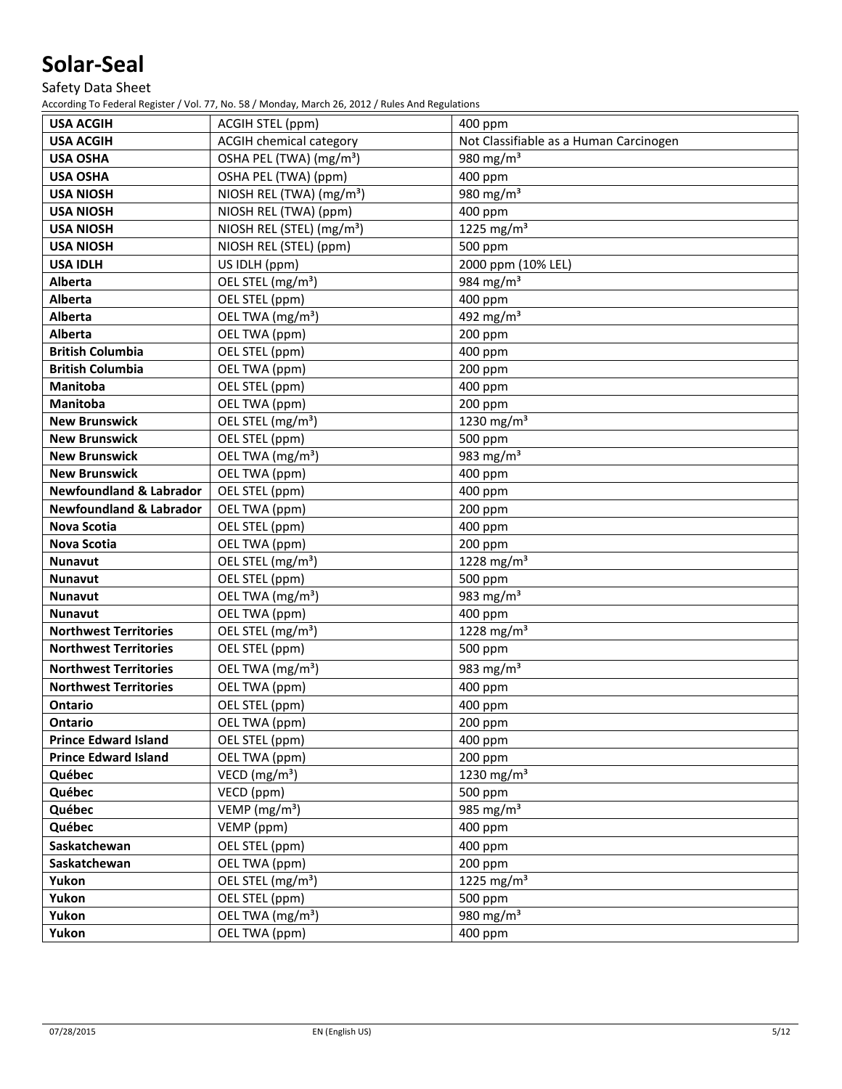Safety Data Sheet

According To Federal Register / Vol. 77, No. 58 / Monday, March 26, 2012 / Rules And Regulations

| <b>USA ACGIH</b>                     | ACGIH STEL (ppm)                               | 400 ppm                                |
|--------------------------------------|------------------------------------------------|----------------------------------------|
| <b>USA ACGIH</b>                     | <b>ACGIH chemical category</b>                 | Not Classifiable as a Human Carcinogen |
| <b>USA OSHA</b>                      | OSHA PEL (TWA) (mg/m <sup>3</sup> )            | 980 $mg/m3$                            |
| <b>USA OSHA</b>                      | OSHA PEL (TWA) (ppm)                           | 400 ppm                                |
| <b>USA NIOSH</b>                     | NIOSH REL (TWA) (mg/m <sup>3</sup> )           | 980 mg/m <sup>3</sup>                  |
| <b>USA NIOSH</b>                     | NIOSH REL (TWA) (ppm)                          | 400 ppm                                |
| <b>USA NIOSH</b>                     | NIOSH REL (STEL) (mg/m <sup>3</sup> )          | 1225 mg/m <sup>3</sup>                 |
| <b>USA NIOSH</b>                     | NIOSH REL (STEL) (ppm)                         | 500 ppm                                |
| <b>USA IDLH</b>                      | US IDLH (ppm)                                  | 2000 ppm (10% LEL)                     |
| Alberta                              | OEL STEL (mg/m <sup>3</sup> )                  | 984 mg/m <sup>3</sup>                  |
| <b>Alberta</b>                       | OEL STEL (ppm)                                 | 400 ppm                                |
| Alberta                              | OEL TWA (mg/m <sup>3</sup> )                   | 492 mg/m <sup>3</sup>                  |
| Alberta                              | OEL TWA (ppm)                                  | 200 ppm                                |
| <b>British Columbia</b>              | OEL STEL (ppm)                                 | 400 ppm                                |
| <b>British Columbia</b>              | OEL TWA (ppm)                                  | 200 ppm                                |
| <b>Manitoba</b>                      | OEL STEL (ppm)                                 | 400 ppm                                |
| <b>Manitoba</b>                      | OEL TWA (ppm)                                  | 200 ppm                                |
| <b>New Brunswick</b>                 | OEL STEL (mg/m <sup>3</sup> )                  | 1230 mg/m <sup>3</sup>                 |
| <b>New Brunswick</b>                 | OEL STEL (ppm)                                 | 500 ppm                                |
| <b>New Brunswick</b>                 | OEL TWA (mg/m <sup>3</sup> )                   | $983$ mg/m <sup>3</sup>                |
| <b>New Brunswick</b>                 | OEL TWA (ppm)                                  | 400 ppm                                |
| <b>Newfoundland &amp; Labrador</b>   | OEL STEL (ppm)                                 | 400 ppm                                |
| <b>Newfoundland &amp; Labrador</b>   | OEL TWA (ppm)                                  | 200 ppm                                |
| <b>Nova Scotia</b>                   | OEL STEL (ppm)                                 | 400 ppm                                |
| <b>Nova Scotia</b><br><b>Nunavut</b> | OEL TWA (ppm)<br>OEL STEL (mg/m <sup>3</sup> ) | 200 ppm                                |
| Nunavut                              | OEL STEL (ppm)                                 | 1228 mg/m <sup>3</sup><br>500 ppm      |
| <b>Nunavut</b>                       | OEL TWA (mg/m <sup>3</sup> )                   | 983 mg/m <sup>3</sup>                  |
| <b>Nunavut</b>                       | OEL TWA (ppm)                                  | 400 ppm                                |
| <b>Northwest Territories</b>         | OEL STEL (mg/m <sup>3</sup> )                  | 1228 mg/m <sup>3</sup>                 |
| <b>Northwest Territories</b>         | OEL STEL (ppm)                                 | 500 ppm                                |
| <b>Northwest Territories</b>         | OEL TWA (mg/m <sup>3</sup> )                   | $\overline{983}$ mg/m <sup>3</sup>     |
| <b>Northwest Territories</b>         | OEL TWA (ppm)                                  | 400 ppm                                |
| Ontario                              | OEL STEL (ppm)                                 | 400 ppm                                |
| <b>Ontario</b>                       | OEL TWA (ppm)                                  | 200 ppm                                |
| <b>Prince Edward Island</b>          | OEL STEL (ppm)                                 | 400 ppm                                |
| <b>Prince Edward Island</b>          | OEL TWA (ppm)                                  | 200 ppm                                |
| Québec                               | VECD (mg/m <sup>3</sup> )                      | 1230 mg/m <sup>3</sup>                 |
| Québec                               | VECD (ppm)                                     | 500 ppm                                |
| Québec                               | VEMP ( $mg/m3$ )                               | 985 mg/m $3$                           |
| Québec                               | VEMP (ppm)                                     | 400 ppm                                |
| Saskatchewan                         | OEL STEL (ppm)                                 | 400 ppm                                |
| Saskatchewan                         | OEL TWA (ppm)                                  | 200 ppm                                |
| Yukon                                | OEL STEL (mg/m <sup>3</sup> )                  | 1225 mg/m <sup>3</sup>                 |
| Yukon                                | OEL STEL (ppm)                                 | 500 ppm                                |
| Yukon                                | OEL TWA (mg/m <sup>3</sup> )                   | 980 mg/m $3$                           |
| Yukon                                | OEL TWA (ppm)                                  | 400 ppm                                |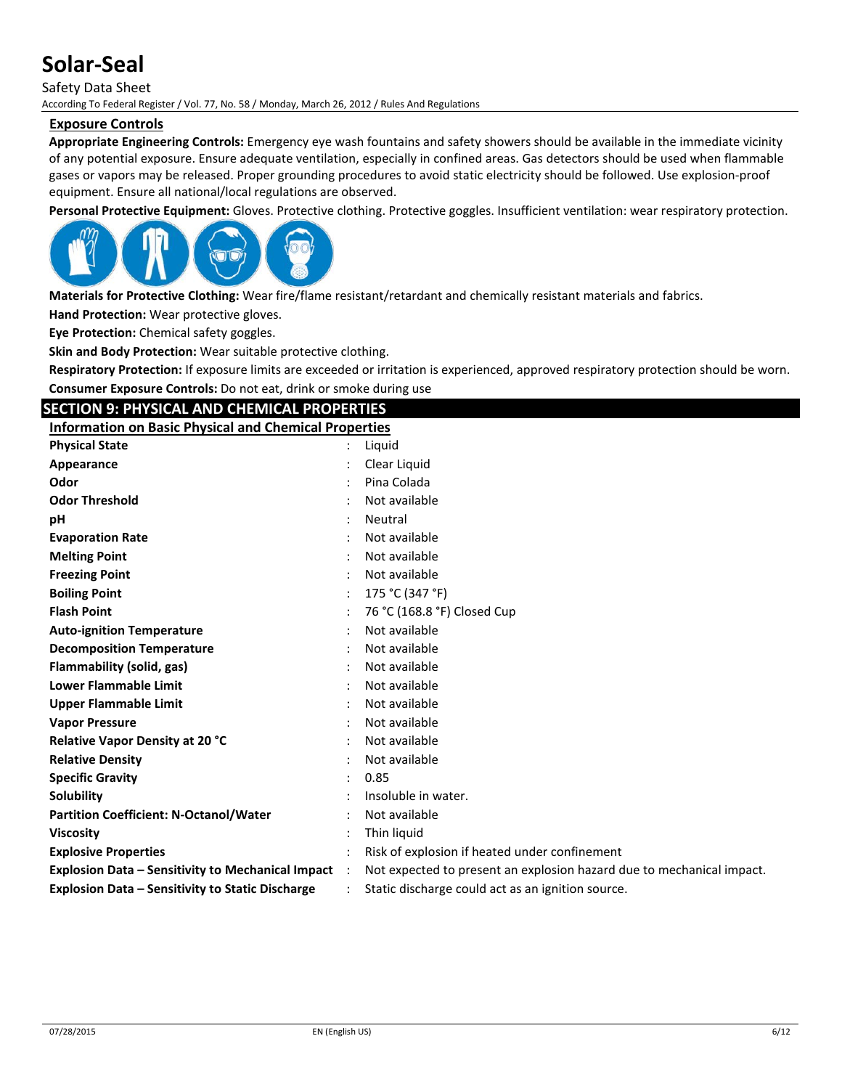Safety Data Sheet

According To Federal Register / Vol. 77, No. 58 / Monday, March 26, 2012 / Rules And Regulations

# **Exposure Controls**

**Appropriate Engineering Controls:** Emergency eye wash fountains and safety showers should be available in the immediate vicinity of any potential exposure. Ensure adequate ventilation, especially in confined areas. Gas detectors should be used when flammable gases or vapors may be released. Proper grounding procedures to avoid static electricity should be followed. Use explosion-proof equipment. Ensure all national/local regulations are observed.

**Personal Protective Equipment:** Gloves. Protective clothing. Protective goggles. Insufficient ventilation: wear respiratory protection.



**Materials for Protective Clothing:** Wear fire/flame resistant/retardant and chemically resistant materials and fabrics.

**Hand Protection:** Wear protective gloves.

**Eye Protection:** Chemical safety goggles.

**Skin and Body Protection:** Wear suitable protective clothing.

**Respiratory Protection:** If exposure limits are exceeded or irritation is experienced, approved respiratory protection should be worn. **Consumer Exposure Controls:** Do not eat, drink or smoke during use

# **SECTION 9: PHYSICAL AND CHEMICAL PROPERTIES**

**Information on Basic Physical and Chemical Properties**

| <b>Physical State</b>                                    |                      | Liquid                                                                |
|----------------------------------------------------------|----------------------|-----------------------------------------------------------------------|
| Appearance                                               |                      | Clear Liquid                                                          |
| Odor                                                     |                      | Pina Colada                                                           |
| <b>Odor Threshold</b>                                    |                      | Not available                                                         |
| рH                                                       |                      | Neutral                                                               |
| <b>Evaporation Rate</b>                                  |                      | Not available                                                         |
| <b>Melting Point</b>                                     |                      | Not available                                                         |
| <b>Freezing Point</b>                                    |                      | Not available                                                         |
| <b>Boiling Point</b>                                     |                      | 175 °C (347 °F)                                                       |
| <b>Flash Point</b>                                       |                      | 76 °C (168.8 °F) Closed Cup                                           |
| <b>Auto-ignition Temperature</b>                         |                      | Not available                                                         |
| <b>Decomposition Temperature</b>                         |                      | Not available                                                         |
| Flammability (solid, gas)                                |                      | Not available                                                         |
| <b>Lower Flammable Limit</b>                             |                      | Not available                                                         |
| <b>Upper Flammable Limit</b>                             |                      | Not available                                                         |
| <b>Vapor Pressure</b>                                    |                      | Not available                                                         |
| <b>Relative Vapor Density at 20 °C</b>                   |                      | Not available                                                         |
| <b>Relative Density</b>                                  |                      | Not available                                                         |
| <b>Specific Gravity</b>                                  |                      | 0.85                                                                  |
| Solubility                                               |                      | Insoluble in water.                                                   |
| <b>Partition Coefficient: N-Octanol/Water</b>            |                      | Not available                                                         |
| <b>Viscosity</b>                                         |                      | Thin liquid                                                           |
| <b>Explosive Properties</b>                              |                      | Risk of explosion if heated under confinement                         |
| <b>Explosion Data - Sensitivity to Mechanical Impact</b> | $\ddot{\phantom{a}}$ | Not expected to present an explosion hazard due to mechanical impact. |
| <b>Explosion Data - Sensitivity to Static Discharge</b>  |                      | Static discharge could act as an ignition source.                     |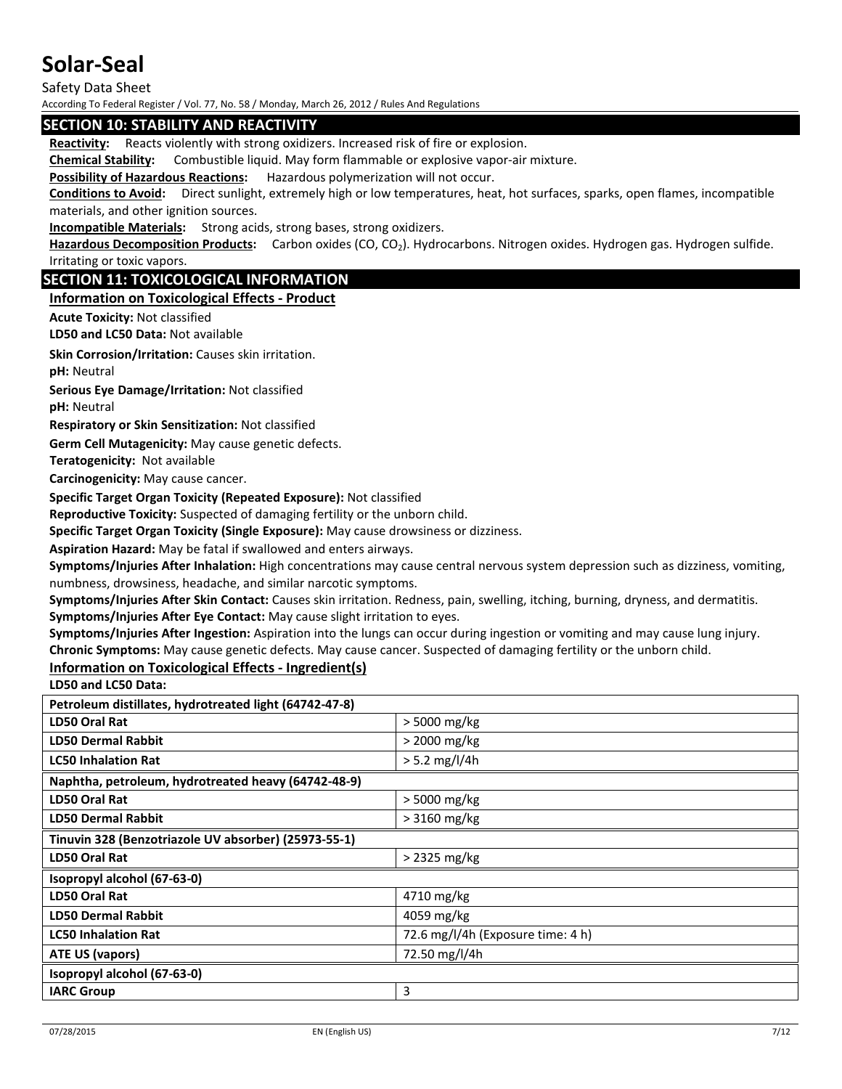Safety Data Sheet

According To Federal Register / Vol. 77, No. 58 / Monday, March 26, 2012 / Rules And Regulations

## **SECTION 10: STABILITY AND REACTIVITY**

**Reactivity:** Reacts violently with strong oxidizers. Increased risk of fire or explosion.

**Chemical Stability:** Combustible liquid. May form flammable or explosive vapor-air mixture.

**Possibility of Hazardous Reactions:** Hazardous polymerization will not occur.

**Conditions to Avoid:** Direct sunlight, extremely high or low temperatures, heat, hot surfaces, sparks, open flames, incompatible materials, and other ignition sources.

**Incompatible Materials:** Strong acids, strong bases, strong oxidizers.

Hazardous Decomposition Products: Carbon oxides (CO, CO<sub>2</sub>). Hydrocarbons. Nitrogen oxides. Hydrogen gas. Hydrogen sulfide. Irritating or toxic vapors.

# **SECTION 11: TOXICOLOGICAL INFORMATION**

### **Information on Toxicological Effects - Product**

**Acute Toxicity:** Not classified

**LD50 and LC50 Data:** Not available

**Skin Corrosion/Irritation:** Causes skin irritation.

**pH:** Neutral

**Serious Eye Damage/Irritation:** Not classified

**pH:** Neutral

**Respiratory or Skin Sensitization:** Not classified

**Germ Cell Mutagenicity:** May cause genetic defects.

**Teratogenicity:** Not available

**Carcinogenicity:** May cause cancer.

**Specific Target Organ Toxicity (Repeated Exposure):** Not classified

**Reproductive Toxicity:** Suspected of damaging fertility or the unborn child.

**Specific Target Organ Toxicity (Single Exposure):** May cause drowsiness or dizziness.

**Aspiration Hazard:** May be fatal if swallowed and enters airways.

**Symptoms/Injuries After Inhalation:** High concentrations may cause central nervous system depression such as dizziness, vomiting, numbness, drowsiness, headache, and similar narcotic symptoms.

**Symptoms/Injuries After Skin Contact:** Causes skin irritation. Redness, pain, swelling, itching, burning, dryness, and dermatitis. **Symptoms/Injuries After Eye Contact:** May cause slight irritation to eyes.

**Symptoms/Injuries After Ingestion:** Aspiration into the lungs can occur during ingestion or vomiting and may cause lung injury. **Chronic Symptoms:** May cause genetic defects. May cause cancer. Suspected of damaging fertility or the unborn child.

## **Information on Toxicological Effects - Ingredient(s)**

**LD50 and LC50 Data:**

| Petroleum distillates, hydrotreated light (64742-47-8) |                                   |  |
|--------------------------------------------------------|-----------------------------------|--|
| <b>LD50 Oral Rat</b>                                   | > 5000 mg/kg                      |  |
| <b>LD50 Dermal Rabbit</b>                              | $>$ 2000 mg/kg                    |  |
| <b>LC50 Inhalation Rat</b>                             | $> 5.2$ mg/l/4h                   |  |
| Naphtha, petroleum, hydrotreated heavy (64742-48-9)    |                                   |  |
| <b>LD50 Oral Rat</b>                                   | > 5000 mg/kg                      |  |
| <b>LD50 Dermal Rabbit</b>                              | > 3160 mg/kg                      |  |
| Tinuvin 328 (Benzotriazole UV absorber) (25973-55-1)   |                                   |  |
| LD50 Oral Rat                                          | > 2325 mg/kg                      |  |
| Isopropyl alcohol (67-63-0)                            |                                   |  |
| <b>LD50 Oral Rat</b>                                   | 4710 mg/kg                        |  |
| <b>LD50 Dermal Rabbit</b>                              | 4059 mg/kg                        |  |
| <b>LC50 Inhalation Rat</b>                             | 72.6 mg/l/4h (Exposure time: 4 h) |  |
| <b>ATE US (vapors)</b>                                 | 72.50 mg/l/4h                     |  |
| Isopropyl alcohol (67-63-0)                            |                                   |  |
| <b>IARC Group</b>                                      | 3                                 |  |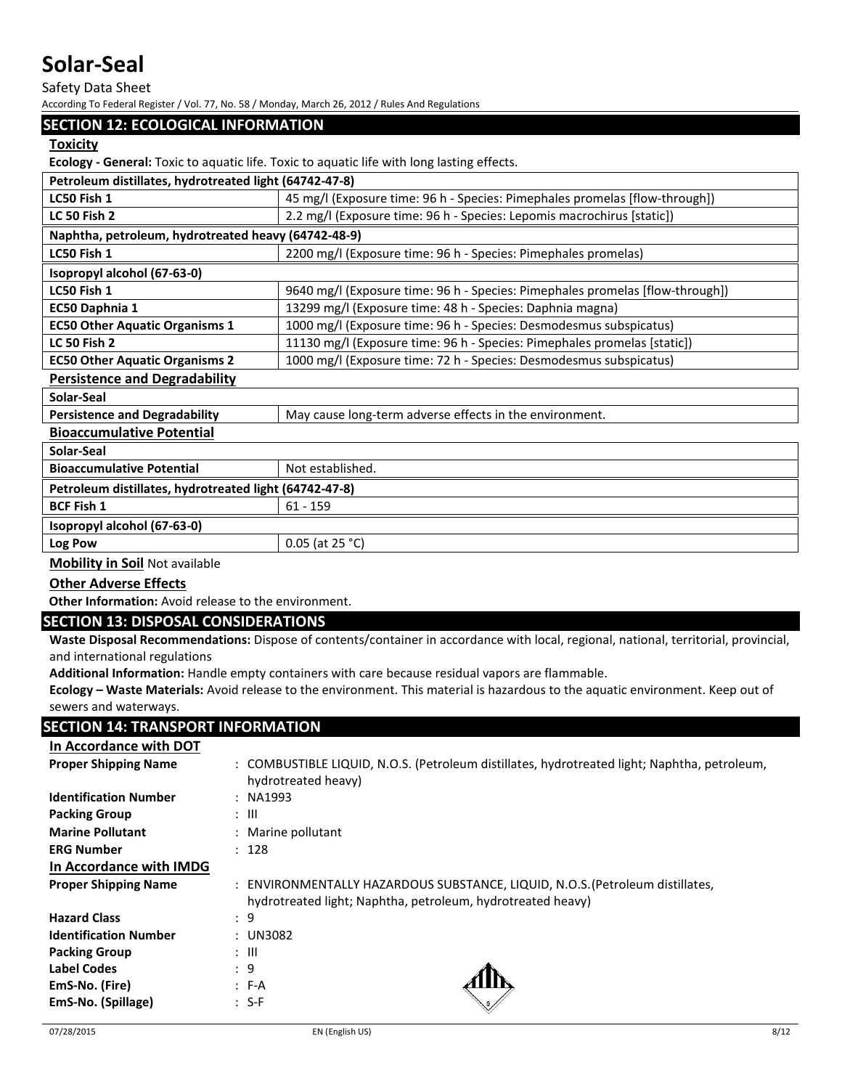Safety Data Sheet

According To Federal Register / Vol. 77, No. 58 / Monday, March 26, 2012 / Rules And Regulations

# **SECTION 12: ECOLOGICAL INFORMATION**

# **Toxicity**

**Ecology - General:** Toxic to aquatic life. Toxic to aquatic life with long lasting effects.

| Petroleum distillates, hydrotreated light (64742-47-8) |                                                                               |  |
|--------------------------------------------------------|-------------------------------------------------------------------------------|--|
| LC50 Fish 1                                            | 45 mg/l (Exposure time: 96 h - Species: Pimephales promelas [flow-through])   |  |
| <b>LC 50 Fish 2</b>                                    | 2.2 mg/l (Exposure time: 96 h - Species: Lepomis macrochirus [static])        |  |
| Naphtha, petroleum, hydrotreated heavy (64742-48-9)    |                                                                               |  |
| LC50 Fish 1                                            | 2200 mg/l (Exposure time: 96 h - Species: Pimephales promelas)                |  |
| Isopropyl alcohol (67-63-0)                            |                                                                               |  |
| LC50 Fish 1                                            | 9640 mg/l (Exposure time: 96 h - Species: Pimephales promelas [flow-through]) |  |
| EC50 Daphnia 1                                         | 13299 mg/l (Exposure time: 48 h - Species: Daphnia magna)                     |  |
| <b>EC50 Other Aquatic Organisms 1</b>                  | 1000 mg/l (Exposure time: 96 h - Species: Desmodesmus subspicatus)            |  |
| <b>LC 50 Fish 2</b>                                    | 11130 mg/l (Exposure time: 96 h - Species: Pimephales promelas [static])      |  |
| <b>EC50 Other Aquatic Organisms 2</b>                  | 1000 mg/l (Exposure time: 72 h - Species: Desmodesmus subspicatus)            |  |
| <b>Persistence and Degradability</b>                   |                                                                               |  |
| Solar-Seal                                             |                                                                               |  |
| <b>Persistence and Degradability</b>                   | May cause long-term adverse effects in the environment.                       |  |
| <b>Bioaccumulative Potential</b>                       |                                                                               |  |
| Solar-Seal                                             |                                                                               |  |
| <b>Bioaccumulative Potential</b>                       | Not established.                                                              |  |
| Petroleum distillates, hydrotreated light (64742-47-8) |                                                                               |  |
| <b>BCF Fish 1</b>                                      | $61 - 159$                                                                    |  |
| Isopropyl alcohol (67-63-0)                            |                                                                               |  |

**Log Pow** 0.05 (at 25 °C)

**Mobility in Soil** Not available

# **Other Adverse Effects**

**Other Information:** Avoid release to the environment.

## **SECTION 13: DISPOSAL CONSIDERATIONS**

**Waste Disposal Recommendations:** Dispose of contents/container in accordance with local, regional, national, territorial, provincial, and international regulations

**Additional Information:** Handle empty containers with care because residual vapors are flammable.

**Ecology – Waste Materials:** Avoid release to the environment. This material is hazardous to the aquatic environment. Keep out of sewers and waterways.

# **SECTION 14: TRANSPORT INFORMATION**

| In Accordance with DOT       |                                                                                                                                                              |
|------------------------------|--------------------------------------------------------------------------------------------------------------------------------------------------------------|
| <b>Proper Shipping Name</b>  | : COMBUSTIBLE LIQUID, N.O.S. (Petroleum distillates, hydrotreated light; Naphtha, petroleum,<br>hydrotreated heavy)                                          |
| <b>Identification Number</b> | : NA1993                                                                                                                                                     |
| <b>Packing Group</b>         | : III                                                                                                                                                        |
| <b>Marine Pollutant</b>      | : Marine pollutant                                                                                                                                           |
| <b>ERG Number</b>            | : 128                                                                                                                                                        |
| In Accordance with IMDG      |                                                                                                                                                              |
| <b>Proper Shipping Name</b>  | ENVIRONMENTALLY HAZARDOUS SUBSTANCE, LIQUID, N.O.S. (Petroleum distillates,<br>$\ddot{\cdot}$<br>hydrotreated light; Naphtha, petroleum, hydrotreated heavy) |
| <b>Hazard Class</b>          | : 9                                                                                                                                                          |
| <b>Identification Number</b> | : UN3082                                                                                                                                                     |
| <b>Packing Group</b>         | : III                                                                                                                                                        |
| Label Codes                  | : 9                                                                                                                                                          |
| EmS-No. (Fire)               | $: F-A$                                                                                                                                                      |
| EmS-No. (Spillage)           | $: S-F$                                                                                                                                                      |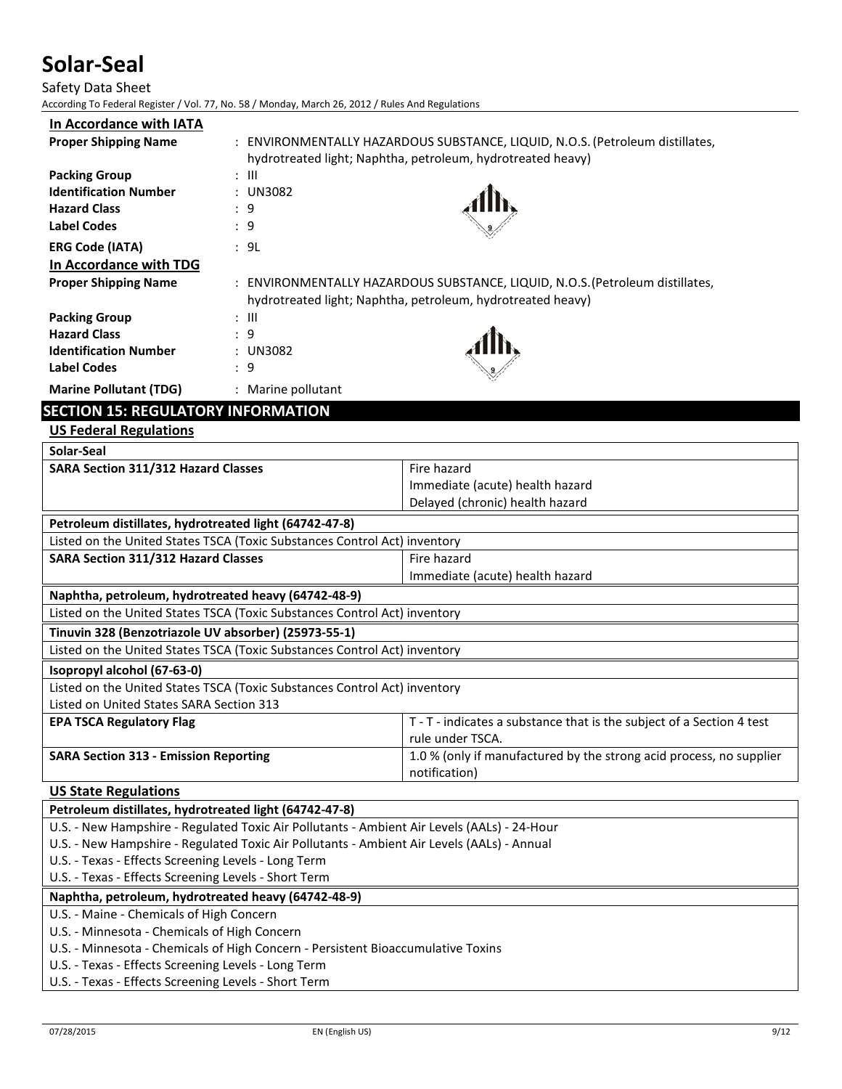Safety Data Sheet

According To Federal Register / Vol. 77, No. 58 / Monday, March 26, 2012 / Rules And Regulations

| In Accordance with IATA       |                                                                                                                                              |
|-------------------------------|----------------------------------------------------------------------------------------------------------------------------------------------|
| <b>Proper Shipping Name</b>   | : ENVIRONMENTALLY HAZARDOUS SUBSTANCE, LIQUID, N.O.S. (Petroleum distillates,<br>hydrotreated light; Naphtha, petroleum, hydrotreated heavy) |
| <b>Packing Group</b>          | : III                                                                                                                                        |
| <b>Identification Number</b>  | : UN3082                                                                                                                                     |
| <b>Hazard Class</b>           | : 9                                                                                                                                          |
| <b>Label Codes</b>            | : 9                                                                                                                                          |
| <b>ERG Code (IATA)</b>        | : 9L                                                                                                                                         |
| In Accordance with TDG        |                                                                                                                                              |
| <b>Proper Shipping Name</b>   | : ENVIRONMENTALLY HAZARDOUS SUBSTANCE, LIQUID, N.O.S. (Petroleum distillates,<br>hydrotreated light; Naphtha, petroleum, hydrotreated heavy) |
| <b>Packing Group</b>          | : III                                                                                                                                        |
| <b>Hazard Class</b>           | : 9                                                                                                                                          |
| <b>Identification Number</b>  | : UN3082                                                                                                                                     |
| Label Codes                   | : 9                                                                                                                                          |
| <b>Marine Pollutant (TDG)</b> | : Marine pollutant                                                                                                                           |

# **SECTION 15: REGULATORY INFORMATION**

# **US Federal Regulations**

| Solar-Seal                                                                |                                                                       |  |  |
|---------------------------------------------------------------------------|-----------------------------------------------------------------------|--|--|
| <b>SARA Section 311/312 Hazard Classes</b>                                | Fire hazard                                                           |  |  |
|                                                                           | Immediate (acute) health hazard                                       |  |  |
|                                                                           | Delayed (chronic) health hazard                                       |  |  |
| Petroleum distillates, hydrotreated light (64742-47-8)                    |                                                                       |  |  |
| Listed on the United States TSCA (Toxic Substances Control Act) inventory |                                                                       |  |  |
| <b>SARA Section 311/312 Hazard Classes</b>                                | Fire hazard                                                           |  |  |
|                                                                           | Immediate (acute) health hazard                                       |  |  |
| Naphtha, petroleum, hydrotreated heavy (64742-48-9)                       |                                                                       |  |  |
| Listed on the United States TSCA (Toxic Substances Control Act) inventory |                                                                       |  |  |
| Tinuvin 328 (Benzotriazole UV absorber) (25973-55-1)                      |                                                                       |  |  |
| Listed on the United States TSCA (Toxic Substances Control Act) inventory |                                                                       |  |  |
| Isopropyl alcohol (67-63-0)                                               |                                                                       |  |  |
| Listed on the United States TSCA (Toxic Substances Control Act) inventory |                                                                       |  |  |
| Listed on United States SARA Section 313                                  |                                                                       |  |  |
| <b>EPA TSCA Regulatory Flag</b>                                           | T - T - indicates a substance that is the subject of a Section 4 test |  |  |
|                                                                           | rule under TSCA.                                                      |  |  |
| <b>SARA Section 313 - Emission Reporting</b>                              | 1.0 % (only if manufactured by the strong acid process, no supplier   |  |  |
|                                                                           | notification)                                                         |  |  |
| <b>US State Regulations</b>                                               |                                                                       |  |  |

## **Petroleum distillates, hydrotreated light (64742-47-8)** U.S. - New Hampshire - Regulated Toxic Air Pollutants - Ambient Air Levels (AALs) - 24-Hour U.S. - New Hampshire - Regulated Toxic Air Pollutants - Ambient Air Levels (AALs) - Annual U.S. - Texas - Effects Screening Levels - Long Term U.S. - Texas - Effects Screening Levels - Short Term **Naphtha, petroleum, hydrotreated heavy (64742-48-9)** U.S. - Maine - Chemicals of High Concern U.S. - Minnesota - Chemicals of High Concern U.S. - Minnesota - Chemicals of High Concern - Persistent Bioaccumulative Toxins U.S. - Texas - Effects Screening Levels - Long Term

U.S. - Texas - Effects Screening Levels - Short Term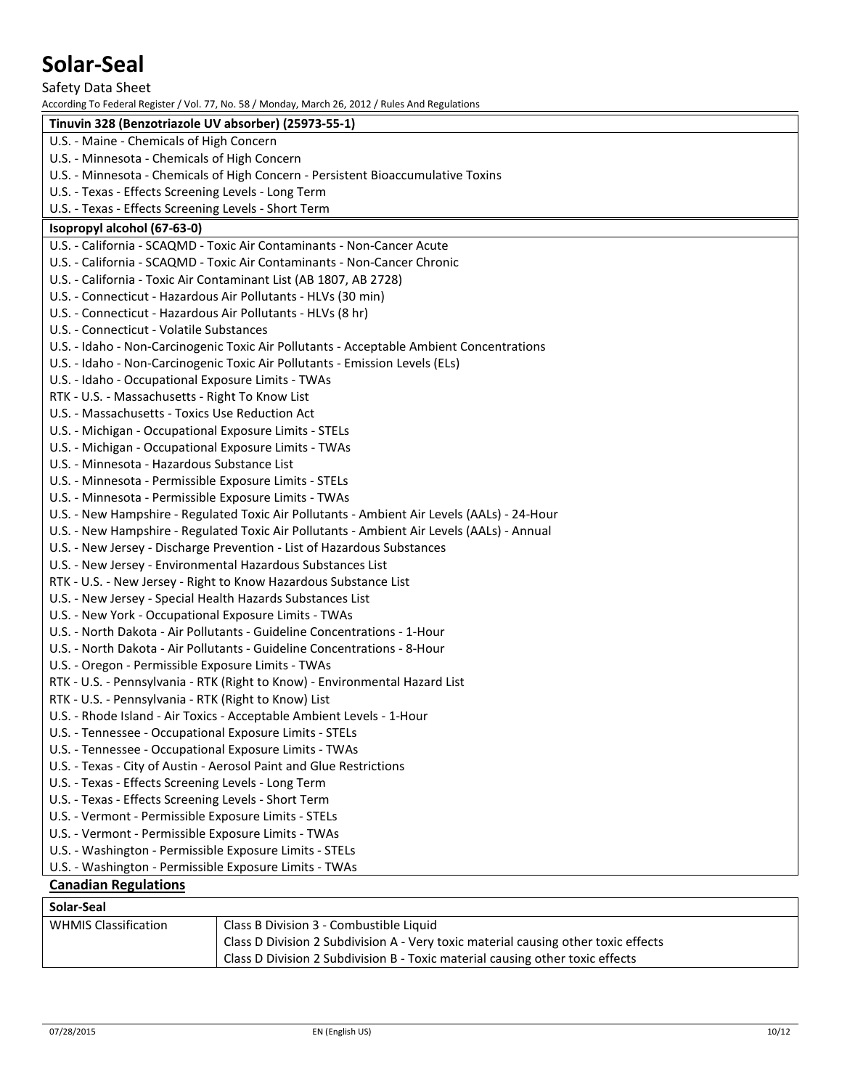Safety Data Sheet

According To Federal Register / Vol. 77, No. 58 / Monday, March 26, 2012 / Rules And Regulations

| Tinuvin 328 (Benzotriazole UV absorber) (25973-55-1)                                                                              |
|-----------------------------------------------------------------------------------------------------------------------------------|
| U.S. - Maine - Chemicals of High Concern                                                                                          |
| U.S. - Minnesota - Chemicals of High Concern                                                                                      |
| U.S. - Minnesota - Chemicals of High Concern - Persistent Bioaccumulative Toxins                                                  |
| U.S. - Texas - Effects Screening Levels - Long Term                                                                               |
| U.S. - Texas - Effects Screening Levels - Short Term                                                                              |
| Isopropyl alcohol (67-63-0)                                                                                                       |
| U.S. - California - SCAQMD - Toxic Air Contaminants - Non-Cancer Acute                                                            |
| U.S. - California - SCAQMD - Toxic Air Contaminants - Non-Cancer Chronic                                                          |
| U.S. - California - Toxic Air Contaminant List (AB 1807, AB 2728)                                                                 |
| U.S. - Connecticut - Hazardous Air Pollutants - HLVs (30 min)                                                                     |
| U.S. - Connecticut - Hazardous Air Pollutants - HLVs (8 hr)                                                                       |
| U.S. - Connecticut - Volatile Substances                                                                                          |
| U.S. - Idaho - Non-Carcinogenic Toxic Air Pollutants - Acceptable Ambient Concentrations                                          |
| U.S. - Idaho - Non-Carcinogenic Toxic Air Pollutants - Emission Levels (ELs)                                                      |
| U.S. - Idaho - Occupational Exposure Limits - TWAs                                                                                |
| RTK - U.S. - Massachusetts - Right To Know List                                                                                   |
| U.S. - Massachusetts - Toxics Use Reduction Act                                                                                   |
| U.S. - Michigan - Occupational Exposure Limits - STELs                                                                            |
| U.S. - Michigan - Occupational Exposure Limits - TWAs                                                                             |
| U.S. - Minnesota - Hazardous Substance List                                                                                       |
| U.S. - Minnesota - Permissible Exposure Limits - STELs                                                                            |
| U.S. - Minnesota - Permissible Exposure Limits - TWAs                                                                             |
| U.S. - New Hampshire - Regulated Toxic Air Pollutants - Ambient Air Levels (AALs) - 24-Hour                                       |
| U.S. - New Hampshire - Regulated Toxic Air Pollutants - Ambient Air Levels (AALs) - Annual                                        |
| U.S. - New Jersey - Discharge Prevention - List of Hazardous Substances                                                           |
| U.S. - New Jersey - Environmental Hazardous Substances List                                                                       |
| RTK - U.S. - New Jersey - Right to Know Hazardous Substance List                                                                  |
| U.S. - New Jersey - Special Health Hazards Substances List                                                                        |
| U.S. - New York - Occupational Exposure Limits - TWAs<br>U.S. - North Dakota - Air Pollutants - Guideline Concentrations - 1-Hour |
| U.S. - North Dakota - Air Pollutants - Guideline Concentrations - 8-Hour                                                          |
| U.S. - Oregon - Permissible Exposure Limits - TWAs                                                                                |
| RTK - U.S. - Pennsylvania - RTK (Right to Know) - Environmental Hazard List                                                       |
| RTK - U.S. - Pennsylvania - RTK (Right to Know) List                                                                              |
| U.S. - Rhode Island - Air Toxics - Acceptable Ambient Levels - 1-Hour                                                             |
| U.S. - Tennessee - Occupational Exposure Limits - STELs                                                                           |
| U.S. - Tennessee - Occupational Exposure Limits - TWAs                                                                            |
| U.S. - Texas - City of Austin - Aerosol Paint and Glue Restrictions                                                               |
| U.S. - Texas - Effects Screening Levels - Long Term                                                                               |
| U.S. - Texas - Effects Screening Levels - Short Term                                                                              |
| U.S. - Vermont - Permissible Exposure Limits - STELs                                                                              |
| U.S. - Vermont - Permissible Exposure Limits - TWAs                                                                               |
| U.S. - Washington - Permissible Exposure Limits - STELs                                                                           |
| U.S. - Washington - Permissible Exposure Limits - TWAs                                                                            |
| <b>Canadian Regulations</b>                                                                                                       |
| Solar-Seal                                                                                                                        |

| JUIGI-JEGI                  |                                                                                    |
|-----------------------------|------------------------------------------------------------------------------------|
| <b>WHMIS Classification</b> | Class B Division 3 - Combustible Liquid                                            |
|                             | Class D Division 2 Subdivision A - Very toxic material causing other toxic effects |
|                             | Class D Division 2 Subdivision B - Toxic material causing other toxic effects      |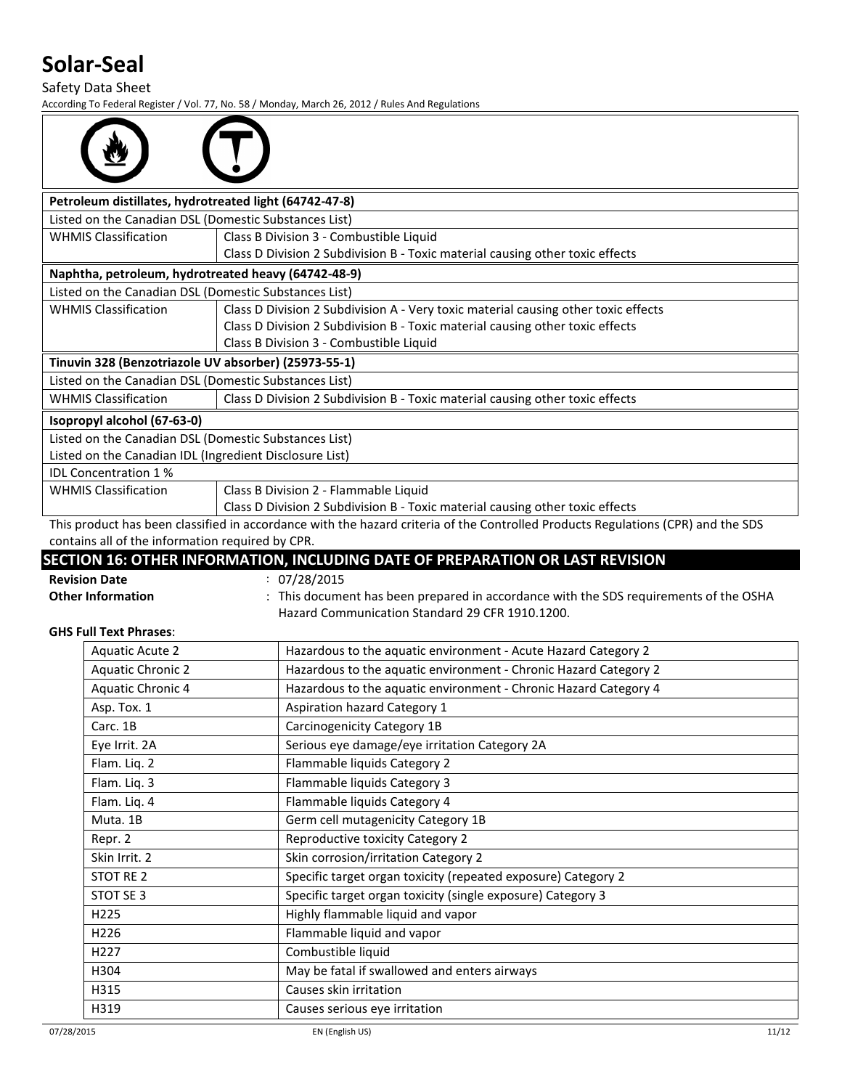### Safety Data Sheet

According To Federal Register / Vol. 77, No. 58 / Monday, March 26, 2012 / Rules And Regulations



| Petroleum distillates, hydrotreated light (64742-47-8)                                                                           |                                                                                    |  |  |  |
|----------------------------------------------------------------------------------------------------------------------------------|------------------------------------------------------------------------------------|--|--|--|
| Listed on the Canadian DSL (Domestic Substances List)                                                                            |                                                                                    |  |  |  |
| <b>WHMIS Classification</b>                                                                                                      | Class B Division 3 - Combustible Liquid                                            |  |  |  |
|                                                                                                                                  | Class D Division 2 Subdivision B - Toxic material causing other toxic effects      |  |  |  |
| Naphtha, petroleum, hydrotreated heavy (64742-48-9)                                                                              |                                                                                    |  |  |  |
| Listed on the Canadian DSL (Domestic Substances List)                                                                            |                                                                                    |  |  |  |
| <b>WHMIS Classification</b>                                                                                                      | Class D Division 2 Subdivision A - Very toxic material causing other toxic effects |  |  |  |
|                                                                                                                                  | Class D Division 2 Subdivision B - Toxic material causing other toxic effects      |  |  |  |
|                                                                                                                                  | Class B Division 3 - Combustible Liquid                                            |  |  |  |
| Tinuvin 328 (Benzotriazole UV absorber) (25973-55-1)                                                                             |                                                                                    |  |  |  |
| Listed on the Canadian DSL (Domestic Substances List)                                                                            |                                                                                    |  |  |  |
| <b>WHMIS Classification</b>                                                                                                      | Class D Division 2 Subdivision B - Toxic material causing other toxic effects      |  |  |  |
| Isopropyl alcohol (67-63-0)                                                                                                      |                                                                                    |  |  |  |
| Listed on the Canadian DSL (Domestic Substances List)                                                                            |                                                                                    |  |  |  |
| Listed on the Canadian IDL (Ingredient Disclosure List)                                                                          |                                                                                    |  |  |  |
| <b>IDL Concentration 1%</b>                                                                                                      |                                                                                    |  |  |  |
| <b>WHMIS Classification</b>                                                                                                      | Class B Division 2 - Flammable Liquid                                              |  |  |  |
|                                                                                                                                  | Class D Division 2 Subdivision B - Toxic material causing other toxic effects      |  |  |  |
| This product has been classified in accordance with the hazard criteria of the Controlled Products Regulations (CPR) and the SDS |                                                                                    |  |  |  |

This product has been classified in accordance with the hazard criteria of the Controlled Products Regulations (CPR) and the SDS contains all of the information required by CPR.

# **SECTION 16: OTHER INFORMATION, INCLUDING DATE OF PREPARATION OR LAST REVISION**

| <b>Revision Date</b> |
|----------------------|
|----------------------|

**Revision Date** : 07/28/2015

Other Information **cometable in the SUS repared in accordance with the SDS requirements of the OSHA** Hazard Communication Standard 29 CFR 1910.1200.

#### **GHS Full Text Phrases**:

| Aquatic Acute 2   | Hazardous to the aquatic environment - Acute Hazard Category 2   |
|-------------------|------------------------------------------------------------------|
| Aquatic Chronic 2 | Hazardous to the aquatic environment - Chronic Hazard Category 2 |
| Aquatic Chronic 4 | Hazardous to the aquatic environment - Chronic Hazard Category 4 |
| Asp. Tox. 1       | Aspiration hazard Category 1                                     |
| Carc. 1B          | Carcinogenicity Category 1B                                      |
| Eye Irrit. 2A     | Serious eye damage/eye irritation Category 2A                    |
| Flam. Liq. 2      | Flammable liquids Category 2                                     |
| Flam. Liq. 3      | Flammable liquids Category 3                                     |
| Flam. Liq. 4      | Flammable liquids Category 4                                     |
| Muta. 1B          | Germ cell mutagenicity Category 1B                               |
| Repr. 2           | Reproductive toxicity Category 2                                 |
| Skin Irrit. 2     | Skin corrosion/irritation Category 2                             |
| STOT RE 2         | Specific target organ toxicity (repeated exposure) Category 2    |
| STOT SE 3         | Specific target organ toxicity (single exposure) Category 3      |
| H225              | Highly flammable liquid and vapor                                |
| H <sub>226</sub>  | Flammable liquid and vapor                                       |
| H <sub>227</sub>  | Combustible liquid                                               |
| H304              | May be fatal if swallowed and enters airways                     |
| H315              | Causes skin irritation                                           |
| H319              | Causes serious eye irritation                                    |
|                   |                                                                  |